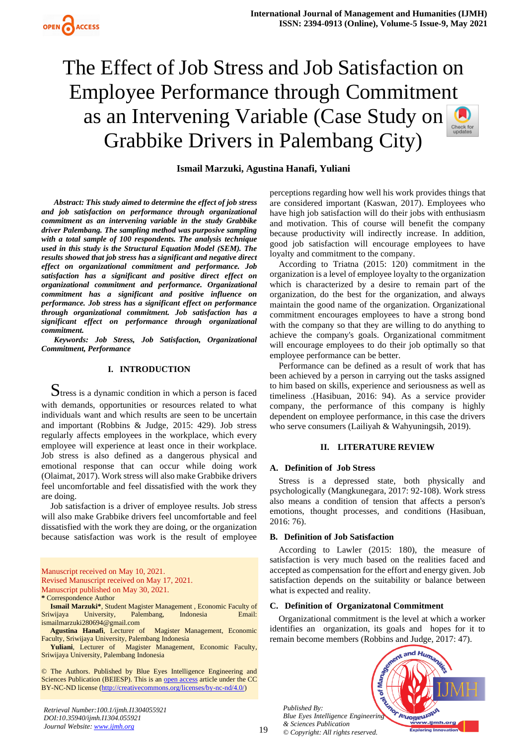

# The Effect of Job Stress and Job Satisfaction on Employee Performance through Commitment as an Intervening Variable (Case Study on Grabbike Drivers in Palembang City)

# **Ismail Marzuki, Agustina Hanafi, Yuliani**

*Abstract: This study aimed to determine the effect of job stress and job satisfaction on performance through organizational commitment as an intervening variable in the study Grabbike driver Palembang. The sampling method was purposive sampling with a total sample of 100 respondents. The analysis technique used in this study is the Structural Equation Model (SEM). The results showed that job stress has a significant and negative direct effect on organizational commitment and performance. Job satisfaction has a significant and positive direct effect on organizational commitment and performance. Organizational commitment has a significant and positive influence on performance. Job stress has a significant effect on performance through organizational commitment. Job satisfaction has a significant effect on performance through organizational commitment.* 

*Keywords: Job Stress, Job Satisfaction, Organizational Commitment, Performance*

#### **I. INTRODUCTION**

 $\mathbf S$ tress is a dynamic condition in which a person is faced with demands, opportunities or resources related to what individuals want and which results are seen to be uncertain and important (Robbins & Judge, 2015: 429). Job stress regularly affects employees in the workplace, which every employee will experience at least once in their workplace. Job stress is also defined as a dangerous physical and emotional response that can occur while doing work (Olaimat, 2017). Work stress will also make Grabbike drivers feel uncomfortable and feel dissatisfied with the work they are doing.

Job satisfaction is a driver of employee results. Job stress will also make Grabbike drivers feel uncomfortable and feel dissatisfied with the work they are doing, or the organization because satisfaction was work is the result of employee

Manuscript published on May 30, 2021.

**Yuliani**, Lecturer of Magister Management, Economic Faculty, Sriwijaya University, Palembang Indonesia

© The Authors. Published by Blue Eyes Intelligence Engineering and Sciences Publication (BEIESP). This is an [open access](https://www.openaccess.nl/en/open-publications) article under the CC BY-NC-ND license [\(http://creativecommons.org/licenses/by-nc-nd/4.0/\)](http://creativecommons.org/licenses/by-nc-nd/4.0/)

*Retrieval Number:100.1/ijmh.I1304055921 DOI:10.35940/ijmh.I1304.055921 Journal Website[: www.ijmh.org](http://www.ijmh.org/)*

perceptions regarding how well his work provides things that are considered important (Kaswan, 2017). Employees who have high job satisfaction will do their jobs with enthusiasm and motivation. This of course will benefit the company because productivity will indirectly increase. In addition, good job satisfaction will encourage employees to have loyalty and commitment to the company.

According to Triatna (2015: 120) commitment in the organization is a level of employee loyalty to the organization which is characterized by a desire to remain part of the organization, do the best for the organization, and always maintain the good name of the organization. Organizational commitment encourages employees to have a strong bond with the company so that they are willing to do anything to achieve the company's goals. Organizational commitment will encourage employees to do their job optimally so that employee performance can be better.

Performance can be defined as a result of work that has been achieved by a person in carrying out the tasks assigned to him based on skills, experience and seriousness as well as timeliness .(Hasibuan, 2016: 94). As a service provider company, the performance of this company is highly dependent on employee performance, in this case the drivers who serve consumers (Lailiyah & Wahyuningsih, 2019).

#### **II. LITERATURE REVIEW**

#### **A. Definition of Job Stress**

Stress is a depressed state, both physically and psychologically (Mangkunegara, 2017: 92-108). Work stress also means a condition of tension that affects a person's emotions, thought processes, and conditions (Hasibuan, 2016: 76).

#### **B. Definition of Job Satisfaction**

According to Lawler (2015: 180), the measure of satisfaction is very much based on the realities faced and accepted as compensation for the effort and energy given. Job satisfaction depends on the suitability or balance between what is expected and reality.

#### **C. Definition of Organizatonal Commitment**

Organizational commitment is the level at which a worker identifies an organization, its goals and hopes for it to remain become members (Robbins and Judge, 2017: 47).

*Published By:* **Inor Teuoneura** *Blue Eyes Intelligence Engineering & Sciences Publication © Copyright: All rights reserved.*



Manuscript received on May 10, 2021. Revised Manuscript received on May 17, 2021.

**<sup>\*</sup>** Correspondence Author

**Ismail Marzuki\***, Student Magister Management , Economic Faculty of Sriwijaya University, Palembang, Indonesia Email: ismailmarzuki280694@gmail.com

**Agustina Hanafi**, Lecturer of Magister Management, Economic Faculty, Sriwijaya University, Palembang Indonesia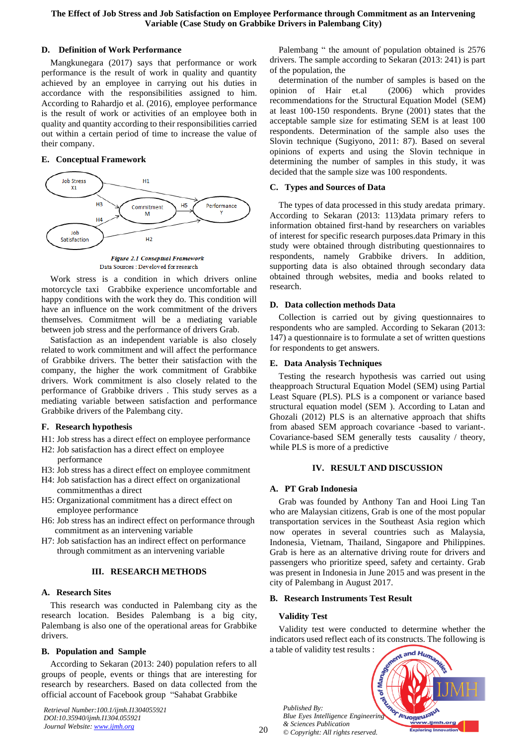## **D. Definition of Work Performance**

Mangkunegara (2017) says that performance or work performance is the result of work in quality and quantity achieved by an employee in carrying out his duties in accordance with the responsibilities assigned to him. According to Rahardjo et al. (2016), employee performance is the result of work or activities of an employee both in quality and quantity according to their responsibilities carried out within a certain period of time to increase the value of their company.

## **E. Conceptual Framework**



Figure 2.1 Conseptual Framework Data Sources : Develoved for research

Work stress is a condition in which drivers online motorcycle taxi Grabbike experience uncomfortable and happy conditions with the work they do. This condition will have an influence on the work commitment of the drivers themselves. Commitment will be a mediating variable between job stress and the performance of drivers Grab.

Satisfaction as an independent variable is also closely related to work commitment and will affect the performance of Grabbike drivers. The better their satisfaction with the company, the higher the work commitment of Grabbike drivers. Work commitment is also closely related to the performance of Grabbike drivers . This study serves as a mediating variable between satisfaction and performance Grabbike drivers of the Palembang city.

#### **F. Research hypothesis**

- H1: Job stress has a direct effect on employee performance
- H2: Job satisfaction has a direct effect on employee performance
- H3: Job stress has a direct effect on employee commitment
- H4: Job satisfaction has a direct effect on organizational commitmenthas a direct
- H5: Organizational commitment has a direct effect on employee performance
- H6: Job stress has an indirect effect on performance through commitment as an intervening variable
- H7: Job satisfaction has an indirect effect on performance through commitment as an intervening variable

# **III. RESEARCH METHODS**

#### **A. Research Sites**

This research was conducted in Palembang city as the research location. Besides Palembang is a big city, Palembang is also one of the operational areas for Grabbike drivers.

# **B. Population and Sample**

According to Sekaran (2013: 240) population refers to all groups of people, events or things that are interesting for research by researchers. Based on data collected from the official account of Facebook group "Sahabat Grabbike

*Retrieval Number:100.1/ijmh.I1304055921 DOI:10.35940/ijmh.I1304.055921 Journal Website[: www.ijmh.org](http://www.ijmh.org/)*

Palembang " the amount of population obtained is 2576 drivers. The sample according to Sekaran (2013: 241) is part of the population, the

determination of the number of samples is based on the opinion of Hair et.al (2006) which provides recommendations for the Structural Equation Model (SEM) at least 100-150 respondents. Bryne (2001) states that the acceptable sample size for estimating SEM is at least 100 respondents. Determination of the sample also uses the Slovin technique (Sugiyono, 2011: 87). Based on several opinions of experts and using the Slovin technique in determining the number of samples in this study, it was decided that the sample size was 100 respondents.

## **C. Types and Sources of Data**

The types of data processed in this study aredata primary. According to Sekaran (2013: 113)data primary refers to information obtained first-hand by researchers on variables of interest for specific research purposes.data Primary in this study were obtained through distributing questionnaires to respondents, namely Grabbike drivers. In addition, supporting data is also obtained through secondary data obtained through websites, media and books related to research.

## **D. Data collection methods Data**

Collection is carried out by giving questionnaires to respondents who are sampled. According to Sekaran (2013: 147) a questionnaire is to formulate a set of written questions for respondents to get answers.

## **E. Data Analysis Techniques**

Testing the research hypothesis was carried out using theapproach Structural Equation Model (SEM) using Partial Least Square (PLS). PLS is a component or variance based structural equation model (SEM ). According to Latan and Ghozali (2012) PLS is an alternative approach that shifts from abased SEM approach covariance -based to variant-. Covariance-based SEM generally tests causality / theory, while PLS is more of a predictive

#### **IV. RESULT AND DISCUSSION**

# **A. PT Grab Indonesia**

Grab was founded by Anthony Tan and Hooi Ling Tan who are Malaysian citizens, Grab is one of the most popular transportation services in the Southeast Asia region which now operates in several countries such as Malaysia, Indonesia, Vietnam, Thailand, Singapore and Philippines. Grab is here as an alternative driving route for drivers and passengers who prioritize speed, safety and certainty. Grab was present in Indonesia in June 2015 and was present in the city of Palembang in August 2017.

#### **B. Research Instruments Test Result**

#### **Validity Test**

Validity test were conducted to determine whether the indicators used reflect each of its constructs. The following is a table of validity test results :

*Published By:* Published By:<br>*Blue Eyes Intelligence Engineering & Sciences Publication © Copyright: All rights reserved.*

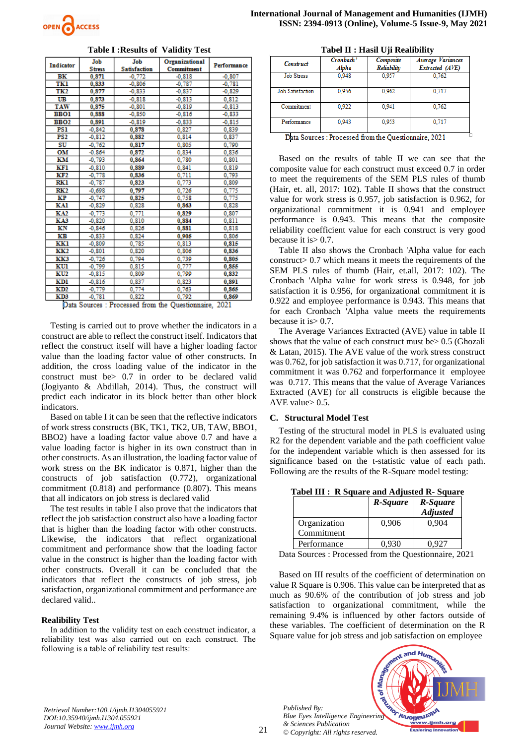

**Table I :Results of Validity Test**

| <b>Stress</b><br><b>Satisfaction</b><br><b>Commitment</b><br>BК<br>$-0.772$<br>0,871<br>$-0,818$<br>$-0,807$<br>TKl<br>$-0,806$<br>$-0.787$<br>$-0.781$<br>0,833<br>TK2<br>0.877<br>$-0,837$<br>$-0,829$<br>$-0,833$<br>UB<br>0.873<br>$-0.818$<br>$-0,813$<br>0.812<br><b>TAW</b><br>0.875<br>$-0, 801$<br>$-0,819$<br>$-0.813$<br><b>BBO1</b><br>0,888<br>$-0.850$<br>$-0,816$<br>$-0,833$<br><b>BBO2</b><br>0.891<br>$-0.819$<br>$-0.833$<br>$-0.815$<br>PS1<br>$-0.842$<br>0.878<br>0.827<br>0.839<br>PS <sub>2</sub><br>$-0.812$<br>0,882<br>0,814<br>0,837<br>0.790<br>SU<br>$-0,762$<br>0,817<br>0.805<br>OM<br>$-0.864$<br>0.872<br>0.834<br>0.836<br>ΚМ<br>$-0,793$<br>0.780<br>0,801<br>0,864<br>KF1<br>$-0.810$<br>0.889<br>0.841<br>0.819<br>0,711<br>KF2<br>$-0,778$<br>0,793<br>0,836<br>0,773<br>RKI<br>$-0,787$<br>0,823<br>0.809<br>0.775<br>RK <sub>2</sub><br>0.797<br>0.726<br>$-0.698$<br>0,775<br>КP<br>$-0,747$<br>0,758<br>0,825<br>KAl<br>0,863<br>$-0,829$<br>0,828<br>0.828<br>0,771<br><b>KA2</b><br>$-0,773$<br>0.829<br>0.807<br><b>KA3</b><br>$-0,820$<br>0,810<br>0,884<br>0,811<br>ΚN<br>0,826<br>$-0.846$<br>0.881<br>0,818<br>KВ<br>0.824<br>0,905<br>$-0.833$<br>0.806<br>0,785<br>KKl<br>0,813<br>0.815<br>$-0,809$<br>KK2<br>0,820<br>0,806<br>$-0,801$<br>0,836<br>$-0,726$<br>0,794<br>KK3<br>0.739<br>0,805<br>0.777<br>KUl<br>$-0.799$<br>0.815<br>0.855 | <b>Indicator</b> | Job      | Job   | Organizational | Performance |
|----------------------------------------------------------------------------------------------------------------------------------------------------------------------------------------------------------------------------------------------------------------------------------------------------------------------------------------------------------------------------------------------------------------------------------------------------------------------------------------------------------------------------------------------------------------------------------------------------------------------------------------------------------------------------------------------------------------------------------------------------------------------------------------------------------------------------------------------------------------------------------------------------------------------------------------------------------------------------------------------------------------------------------------------------------------------------------------------------------------------------------------------------------------------------------------------------------------------------------------------------------------------------------------------------------------------------------------------------------------------------------------------------|------------------|----------|-------|----------------|-------------|
|                                                                                                                                                                                                                                                                                                                                                                                                                                                                                                                                                                                                                                                                                                                                                                                                                                                                                                                                                                                                                                                                                                                                                                                                                                                                                                                                                                                                    |                  |          |       |                |             |
|                                                                                                                                                                                                                                                                                                                                                                                                                                                                                                                                                                                                                                                                                                                                                                                                                                                                                                                                                                                                                                                                                                                                                                                                                                                                                                                                                                                                    |                  |          |       |                |             |
|                                                                                                                                                                                                                                                                                                                                                                                                                                                                                                                                                                                                                                                                                                                                                                                                                                                                                                                                                                                                                                                                                                                                                                                                                                                                                                                                                                                                    |                  |          |       |                |             |
|                                                                                                                                                                                                                                                                                                                                                                                                                                                                                                                                                                                                                                                                                                                                                                                                                                                                                                                                                                                                                                                                                                                                                                                                                                                                                                                                                                                                    |                  |          |       |                |             |
|                                                                                                                                                                                                                                                                                                                                                                                                                                                                                                                                                                                                                                                                                                                                                                                                                                                                                                                                                                                                                                                                                                                                                                                                                                                                                                                                                                                                    |                  |          |       |                |             |
|                                                                                                                                                                                                                                                                                                                                                                                                                                                                                                                                                                                                                                                                                                                                                                                                                                                                                                                                                                                                                                                                                                                                                                                                                                                                                                                                                                                                    |                  |          |       |                |             |
|                                                                                                                                                                                                                                                                                                                                                                                                                                                                                                                                                                                                                                                                                                                                                                                                                                                                                                                                                                                                                                                                                                                                                                                                                                                                                                                                                                                                    |                  |          |       |                |             |
|                                                                                                                                                                                                                                                                                                                                                                                                                                                                                                                                                                                                                                                                                                                                                                                                                                                                                                                                                                                                                                                                                                                                                                                                                                                                                                                                                                                                    |                  |          |       |                |             |
|                                                                                                                                                                                                                                                                                                                                                                                                                                                                                                                                                                                                                                                                                                                                                                                                                                                                                                                                                                                                                                                                                                                                                                                                                                                                                                                                                                                                    |                  |          |       |                |             |
|                                                                                                                                                                                                                                                                                                                                                                                                                                                                                                                                                                                                                                                                                                                                                                                                                                                                                                                                                                                                                                                                                                                                                                                                                                                                                                                                                                                                    |                  |          |       |                |             |
|                                                                                                                                                                                                                                                                                                                                                                                                                                                                                                                                                                                                                                                                                                                                                                                                                                                                                                                                                                                                                                                                                                                                                                                                                                                                                                                                                                                                    |                  |          |       |                |             |
|                                                                                                                                                                                                                                                                                                                                                                                                                                                                                                                                                                                                                                                                                                                                                                                                                                                                                                                                                                                                                                                                                                                                                                                                                                                                                                                                                                                                    |                  |          |       |                |             |
|                                                                                                                                                                                                                                                                                                                                                                                                                                                                                                                                                                                                                                                                                                                                                                                                                                                                                                                                                                                                                                                                                                                                                                                                                                                                                                                                                                                                    |                  |          |       |                |             |
|                                                                                                                                                                                                                                                                                                                                                                                                                                                                                                                                                                                                                                                                                                                                                                                                                                                                                                                                                                                                                                                                                                                                                                                                                                                                                                                                                                                                    |                  |          |       |                |             |
|                                                                                                                                                                                                                                                                                                                                                                                                                                                                                                                                                                                                                                                                                                                                                                                                                                                                                                                                                                                                                                                                                                                                                                                                                                                                                                                                                                                                    |                  |          |       |                |             |
|                                                                                                                                                                                                                                                                                                                                                                                                                                                                                                                                                                                                                                                                                                                                                                                                                                                                                                                                                                                                                                                                                                                                                                                                                                                                                                                                                                                                    |                  |          |       |                |             |
|                                                                                                                                                                                                                                                                                                                                                                                                                                                                                                                                                                                                                                                                                                                                                                                                                                                                                                                                                                                                                                                                                                                                                                                                                                                                                                                                                                                                    |                  |          |       |                |             |
|                                                                                                                                                                                                                                                                                                                                                                                                                                                                                                                                                                                                                                                                                                                                                                                                                                                                                                                                                                                                                                                                                                                                                                                                                                                                                                                                                                                                    |                  |          |       |                |             |
|                                                                                                                                                                                                                                                                                                                                                                                                                                                                                                                                                                                                                                                                                                                                                                                                                                                                                                                                                                                                                                                                                                                                                                                                                                                                                                                                                                                                    |                  |          |       |                |             |
|                                                                                                                                                                                                                                                                                                                                                                                                                                                                                                                                                                                                                                                                                                                                                                                                                                                                                                                                                                                                                                                                                                                                                                                                                                                                                                                                                                                                    |                  |          |       |                |             |
|                                                                                                                                                                                                                                                                                                                                                                                                                                                                                                                                                                                                                                                                                                                                                                                                                                                                                                                                                                                                                                                                                                                                                                                                                                                                                                                                                                                                    |                  |          |       |                |             |
|                                                                                                                                                                                                                                                                                                                                                                                                                                                                                                                                                                                                                                                                                                                                                                                                                                                                                                                                                                                                                                                                                                                                                                                                                                                                                                                                                                                                    |                  |          |       |                |             |
|                                                                                                                                                                                                                                                                                                                                                                                                                                                                                                                                                                                                                                                                                                                                                                                                                                                                                                                                                                                                                                                                                                                                                                                                                                                                                                                                                                                                    |                  |          |       |                |             |
|                                                                                                                                                                                                                                                                                                                                                                                                                                                                                                                                                                                                                                                                                                                                                                                                                                                                                                                                                                                                                                                                                                                                                                                                                                                                                                                                                                                                    |                  |          |       |                |             |
|                                                                                                                                                                                                                                                                                                                                                                                                                                                                                                                                                                                                                                                                                                                                                                                                                                                                                                                                                                                                                                                                                                                                                                                                                                                                                                                                                                                                    |                  |          |       |                |             |
|                                                                                                                                                                                                                                                                                                                                                                                                                                                                                                                                                                                                                                                                                                                                                                                                                                                                                                                                                                                                                                                                                                                                                                                                                                                                                                                                                                                                    |                  |          |       |                |             |
|                                                                                                                                                                                                                                                                                                                                                                                                                                                                                                                                                                                                                                                                                                                                                                                                                                                                                                                                                                                                                                                                                                                                                                                                                                                                                                                                                                                                    |                  |          |       |                |             |
|                                                                                                                                                                                                                                                                                                                                                                                                                                                                                                                                                                                                                                                                                                                                                                                                                                                                                                                                                                                                                                                                                                                                                                                                                                                                                                                                                                                                    | KU2              | $-0,815$ | 0,809 | 0,799          | 0,832       |
| 0,837<br><b>KD1</b><br>$-0.816$<br>0.823<br>0.891                                                                                                                                                                                                                                                                                                                                                                                                                                                                                                                                                                                                                                                                                                                                                                                                                                                                                                                                                                                                                                                                                                                                                                                                                                                                                                                                                  |                  |          |       |                |             |
| $-0,779$<br>0,774<br>KD2<br>0.763<br>0.865                                                                                                                                                                                                                                                                                                                                                                                                                                                                                                                                                                                                                                                                                                                                                                                                                                                                                                                                                                                                                                                                                                                                                                                                                                                                                                                                                         |                  |          |       |                |             |
| 0,792<br>$-0,781$<br>0,822<br>KD3<br>0.869<br>≂<br>$\sim$                                                                                                                                                                                                                                                                                                                                                                                                                                                                                                                                                                                                                                                                                                                                                                                                                                                                                                                                                                                                                                                                                                                                                                                                                                                                                                                                          |                  |          |       |                |             |

Data Sources : Processed from the Questionnaire, 2021

Testing is carried out to prove whether the indicators in a construct are able to reflect the construct itself. Indicators that reflect the construct itself will have a higher loading factor value than the loading factor value of other constructs. In addition, the cross loading value of the indicator in the construct must be> 0.7 in order to be declared valid (Jogiyanto & Abdillah, 2014). Thus, the construct will predict each indicator in its block better than other block indicators.

Based on table I it can be seen that the reflective indicators of work stress constructs (BK, TK1, TK2, UB, TAW, BBO1, BBO2) have a loading factor value above 0.7 and have a value loading factor is higher in its own construct than in other constructs. As an illustration, the loading factor value of work stress on the BK indicator is 0.871, higher than the constructs of job satisfaction (0.772), organizational commitment (0.818) and performance (0.807). This means that all indicators on job stress is declared valid

The test results in table I also prove that the indicators that reflect the job satisfaction construct also have a loading factor that is higher than the loading factor with other constructs. Likewise, the indicators that reflect organizational commitment and performance show that the loading factor value in the construct is higher than the loading factor with other constructs. Overall it can be concluded that the indicators that reflect the constructs of job stress, job satisfaction, organizational commitment and performance are declared valid..

#### **Realibility Test**

In addition to the validity test on each construct indicator, a reliability test was also carried out on each construct. The following is a table of reliability test results:

|  |  |  |  |  | Tabel II : Hasil Uji Realibility |
|--|--|--|--|--|----------------------------------|
|--|--|--|--|--|----------------------------------|

| Construct               | Cronbach'<br>Alpha | Composite<br>Reliability | <b>Average Variances</b><br>Extracted (AVE) |
|-------------------------|--------------------|--------------------------|---------------------------------------------|
| <b>Job Stress</b>       | 0.948              | 0.957                    | 0.762                                       |
| <b>Job Satisfaction</b> | 0.956              | 0.962                    | 0.717                                       |
| Commitment              | 0.922              | 0.941                    | 0.762                                       |
| Performance             | 0.943              | 0.953                    | 0.717                                       |

Data Sources : Processed from the Questionnaire, 2021

Based on the results of table II we can see that the composite value for each construct must exceed 0.7 in order to meet the requirements of the SEM PLS rules of thumb (Hair, et. all, 2017: 102). Table II shows that the construct value for work stress is 0.957, job satisfaction is 0.962, for organizational commitment it is 0.941 and employee performance is 0.943. This means that the composite reliability coefficient value for each construct is very good because it is> 0.7.

Table II also shows the Cronbach 'Alpha value for each construct> 0.7 which means it meets the requirements of the SEM PLS rules of thumb (Hair, et.all, 2017: 102). The Cronbach 'Alpha value for work stress is 0.948, for job satisfaction it is 0.956, for organizational commitment it is 0.922 and employee performance is 0.943. This means that for each Cronbach 'Alpha value meets the requirements because it is> 0.7.

The Average Variances Extracted (AVE) value in table II shows that the value of each construct must be> 0.5 (Ghozali & Latan, 2015). The AVE value of the work stress construct was 0.762, for job satisfaction it was 0.717, for organizational commitment it was 0.762 and forperformance it employee was 0.717. This means that the value of Average Variances Extracted (AVE) for all constructs is eligible because the AVE value> 0.5.

#### **C. Structural Model Test**

Testing of the structural model in PLS is evaluated using R2 for the dependent variable and the path coefficient value for the independent variable which is then assessed for its significance based on the t-statistic value of each path. Following are the results of the R-Square model testing:

**Tabel III : R Square and Adjusted R- Square**

| R-Square | R-Square<br><b>Adjusted</b> |
|----------|-----------------------------|
| 0,906    | 0.904                       |
| 0.930    |                             |
|          |                             |

Data Sources : Processed from the Questionnaire, 2021

Based on III results of the coefficient of determination on value R Square is 0.906. This value can be interpreted that as much as 90.6% of the contribution of job stress and job satisfaction to organizational commitment, while the remaining 9.4% is influenced by other factors outside of these variables. The coefficient of determination on the R Square value for job stress and job satisfaction on employee

*Published By: Blue Eyes Intelligence Engineering & Sciences Publication © Copyright: All rights reserved.*



*Retrieval Number:100.1/ijmh.I1304055921 DOI:10.35940/ijmh.I1304.055921 Journal Website[: www.ijmh.org](http://www.ijmh.org/)*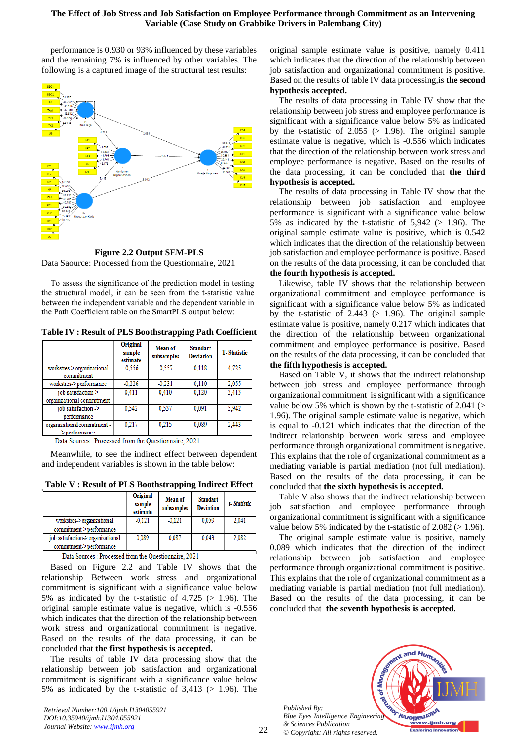#### **The Effect of Job Stress and Job Satisfaction on Employee Performance through Commitment as an Intervening Variable (Case Study on Grabbike Drivers in Palembang City)**

performance is 0.930 or 93% influenced by these variables and the remaining 7% is influenced by other variables. The following is a captured image of the structural test results:



**Figure 2.2 Output SEM-PLS** Data Saource: Processed from the Questionnaire, 2021

To assess the significance of the prediction model in testing the structural model, it can be seen from the t-statistic value between the independent variable and the dependent variable in the Path Coefficient table on the SmartPLS output below:

**Table IV : Result of PLS Boothstrapping Path Coefficient**

|                             | Original<br>sample<br>estimate | Mean of<br>subsamples | <b>Standart</b><br><b>Deviation</b> | <b>T-Statistic</b> |
|-----------------------------|--------------------------------|-----------------------|-------------------------------------|--------------------|
| workstres-> organizational  | $-0.556$                       | $-0.557$              | 0,118                               | 4,725              |
| commitment                  |                                |                       |                                     |                    |
| workstres->performance      | $-0.226$                       | $-0.231$              | 0.110                               | 2,055              |
| iob satisfaction.>          | 0.411                          | 0.410                 | 0.120                               | 3.413              |
| organizational commitment   |                                |                       |                                     |                    |
| job satisfaction ->         | 0.542                          | 0.537                 | 0.091                               | 5,942              |
| performance                 |                                |                       |                                     |                    |
| organizational commitment - | 0.217                          | 0.215                 | 0.089                               | 2.443              |
| $>$ performance             |                                |                       |                                     |                    |

Data Sources : Processed from the Questionnaire, 2021

Meanwhile, to see the indirect effect between dependent and independent variables is shown in the table below:

**Table V : Result of PLS Boothstrapping Indirect Effect**

|                                   | Original<br>sample<br>estimate | Mean of<br>subsamples | <b>Standart</b><br><b>Deviation</b> | t-Statistic |
|-----------------------------------|--------------------------------|-----------------------|-------------------------------------|-------------|
| workstres-> organizational        | $-0.121$                       | $-0.121$              | 0.059                               | 2.041       |
| commitment->performance           |                                |                       |                                     |             |
| job satisfaction-> organizational | 0.089                          | 0.087                 | 0.043                               | 2.082       |
| commitment->performance           |                                |                       |                                     |             |

Data Sources : Processed from the Questionnaire, 2021

Based on Figure 2.2 and Table IV shows that the relationship Between work stress and organizational commitment is significant with a significance value below 5% as indicated by the t-statistic of 4.725 (> 1.96). The original sample estimate value is negative, which is -0.556 which indicates that the direction of the relationship between work stress and organizational commitment is negative. Based on the results of the data processing, it can be concluded that **the first hypothesis is accepted.** 

The results of table IV data processing show that the relationship between job satisfaction and organizational commitment is significant with a significance value below 5% as indicated by the t-statistic of  $3,413$  ( $> 1.96$ ). The

*Retrieval Number:100.1/ijmh.I1304055921 DOI:10.35940/ijmh.I1304.055921 Journal Website[: www.ijmh.org](http://www.ijmh.org/)*

original sample estimate value is positive, namely 0.411 which indicates that the direction of the relationship between job satisfaction and organizational commitment is positive. Based on the results of table IV data processing,is **the second hypothesis accepted.**

The results of data processing in Table IV show that the relationship between job stress and employee performance is significant with a significance value below 5% as indicated by the t-statistic of  $2.055$  ( $> 1.96$ ). The original sample estimate value is negative, which is -0.556 which indicates that the direction of the relationship between work stress and employee performance is negative. Based on the results of the data processing, it can be concluded that **the third hypothesis is accepted.**

The results of data processing in Table IV show that the relationship between job satisfaction and employee performance is significant with a significance value below 5% as indicated by the t-statistic of  $5,942$  ( $> 1.96$ ). The original sample estimate value is positive, which is 0.542 which indicates that the direction of the relationship between job satisfaction and employee performance is positive. Based on the results of the data processing, it can be concluded that **the fourth hypothesis is accepted.**

Likewise, table IV shows that the relationship between organizational commitment and employee performance is significant with a significance value below 5% as indicated by the t-statistic of  $2.443$  ( $> 1.96$ ). The original sample estimate value is positive, namely 0.217 which indicates that the direction of the relationship between organizational commitment and employee performance is positive. Based on the results of the data processing, it can be concluded that **the fifth hypothesis is accepted.**

Based on Table V, it shows that the indirect relationship between job stress and employee performance through organizational commitment is significant with a significance value below 5% which is shown by the t-statistic of 2.041 (> 1.96). The original sample estimate value is negative, which is equal to -0.121 which indicates that the direction of the indirect relationship between work stress and employee performance through organizational commitment is negative. This explains that the role of organizational commitment as a mediating variable is partial mediation (not full mediation). Based on the results of the data processing, it can be concluded that **the sixth hypothesis is accepted.**

Table V also shows that the indirect relationship between job satisfaction and employee performance through organizational commitment is significant with a significance value below 5% indicated by the t-statistic of  $2.082$  ( $> 1.96$ ).

The original sample estimate value is positive, namely 0.089 which indicates that the direction of the indirect relationship between job satisfaction and employee performance through organizational commitment is positive. This explains that the role of organizational commitment as a mediating variable is partial mediation (not full mediation). Based on the results of the data processing, it can be concluded that **the seventh hypothesis is accepted.**

*Published By: Blue Eyes Intelligence Engineering & Sciences Publication © Copyright: All rights reserved.*

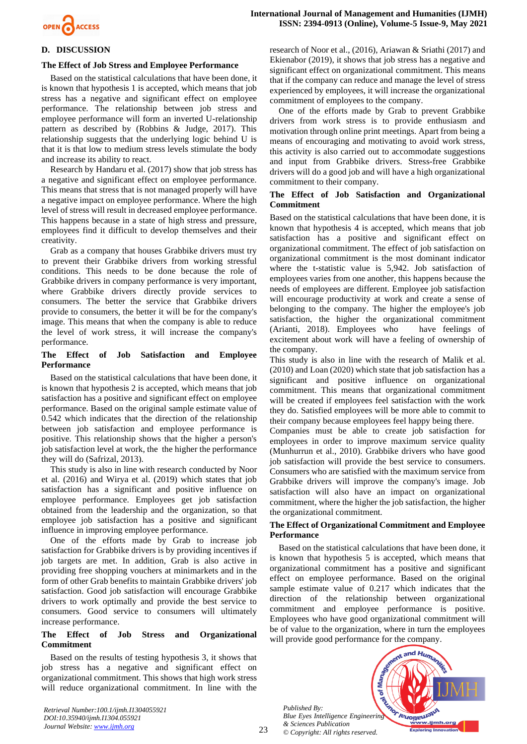

# **D. DISCUSSION**

## **The Effect of Job Stress and Employee Performance**

Based on the statistical calculations that have been done, it is known that hypothesis 1 is accepted, which means that job stress has a negative and significant effect on employee performance. The relationship between job stress and employee performance will form an inverted U-relationship pattern as described by (Robbins & Judge, 2017). This relationship suggests that the underlying logic behind U is that it is that low to medium stress levels stimulate the body and increase its ability to react.

Research by Handaru et al. (2017) show that job stress has a negative and significant effect on employee performance. This means that stress that is not managed properly will have a negative impact on employee performance. Where the high level of stress will result in decreased employee performance. This happens because in a state of high stress and pressure, employees find it difficult to develop themselves and their creativity.

Grab as a company that houses Grabbike drivers must try to prevent their Grabbike drivers from working stressful conditions. This needs to be done because the role of Grabbike drivers in company performance is very important, where Grabbike drivers directly provide services to consumers. The better the service that Grabbike drivers provide to consumers, the better it will be for the company's image. This means that when the company is able to reduce the level of work stress, it will increase the company's performance.

## **The Effect of Job Satisfaction and Employee Performance**

Based on the statistical calculations that have been done, it is known that hypothesis 2 is accepted, which means that job satisfaction has a positive and significant effect on employee performance. Based on the original sample estimate value of 0.542 which indicates that the direction of the relationship between job satisfaction and employee performance is positive. This relationship shows that the higher a person's job satisfaction level at work, the the higher the performance they will do (Safrizal, 2013).

This study is also in line with research conducted by Noor et al. (2016) and Wirya et al. (2019) which states that job satisfaction has a significant and positive influence on employee performance. Employees get job satisfaction obtained from the leadership and the organization, so that employee job satisfaction has a positive and significant influence in improving employee performance.

One of the efforts made by Grab to increase job satisfaction for Grabbike drivers is by providing incentives if job targets are met. In addition, Grab is also active in providing free shopping vouchers at minimarkets and in the form of other Grab benefits to maintain Grabbike drivers' job satisfaction. Good job satisfaction will encourage Grabbike drivers to work optimally and provide the best service to consumers. Good service to consumers will ultimately increase performance.

## **The Effect of Job Stress and Organizational Commitment**

Based on the results of testing hypothesis 3, it shows that job stress has a negative and significant effect on organizational commitment. This shows that high work stress will reduce organizational commitment. In line with the

*Retrieval Number:100.1/ijmh.I1304055921 DOI:10.35940/ijmh.I1304.055921 Journal Website[: www.ijmh.org](http://www.ijmh.org/)*

research of Noor et al., (2016), Ariawan & Sriathi (2017) and Ekienabor (2019), it shows that job stress has a negative and significant effect on organizational commitment. This means that if the company can reduce and manage the level of stress experienced by employees, it will increase the organizational commitment of employees to the company.

One of the efforts made by Grab to prevent Grabbike drivers from work stress is to provide enthusiasm and motivation through online print meetings. Apart from being a means of encouraging and motivating to avoid work stress, this activity is also carried out to accommodate suggestions and input from Grabbike drivers. Stress-free Grabbike drivers will do a good job and will have a high organizational commitment to their company.

# **The Effect of Job Satisfaction and Organizational Commitment**

Based on the statistical calculations that have been done, it is known that hypothesis 4 is accepted, which means that job satisfaction has a positive and significant effect on organizational commitment. The effect of job satisfaction on organizational commitment is the most dominant indicator where the t-statistic value is 5,942. Job satisfaction of employees varies from one another, this happens because the needs of employees are different. Employee job satisfaction will encourage productivity at work and create a sense of belonging to the company. The higher the employee's job satisfaction, the higher the organizational commitment (Arianti, 2018). Employees who have feelings of excitement about work will have a feeling of ownership of the company.

This study is also in line with the research of Malik et al. (2010) and Loan (2020) which state that job satisfaction has a significant and positive influence on organizational commitment. This means that organizational commitment will be created if employees feel satisfaction with the work they do. Satisfied employees will be more able to commit to their company because employees feel happy being there.

Companies must be able to create job satisfaction for employees in order to improve maximum service quality (Munhurrun et al., 2010). Grabbike drivers who have good job satisfaction will provide the best service to consumers. Consumers who are satisfied with the maximum service from Grabbike drivers will improve the company's image. Job satisfaction will also have an impact on organizational commitment, where the higher the job satisfaction, the higher the organizational commitment.

#### **The Effect of Organizational Commitment and Employee Performance**

Based on the statistical calculations that have been done, it is known that hypothesis 5 is accepted, which means that organizational commitment has a positive and significant effect on employee performance. Based on the original sample estimate value of 0.217 which indicates that the direction of the relationship between organizational commitment and employee performance is positive. Employees who have good organizational commitment will be of value to the organization, where in turn the employees will provide good performance for the company.

*Published By:* Published By:<br>*Blue Eyes Intelligence Engineering & Sciences Publication © Copyright: All rights reserved.*

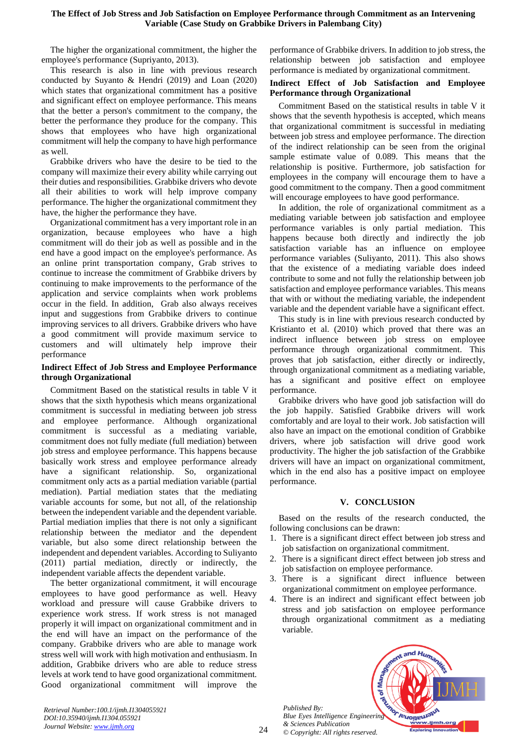The higher the organizational commitment, the higher the employee's performance (Supriyanto, 2013).

This research is also in line with previous research conducted by Suyanto & Hendri (2019) and Loan (2020) which states that organizational commitment has a positive and significant effect on employee performance. This means that the better a person's commitment to the company, the better the performance they produce for the company. This shows that employees who have high organizational commitment will help the company to have high performance as well.

Grabbike drivers who have the desire to be tied to the company will maximize their every ability while carrying out their duties and responsibilities. Grabbike drivers who devote all their abilities to work will help improve company performance. The higher the organizational commitment they have, the higher the performance they have.

Organizational commitment has a very important role in an organization, because employees who have a high commitment will do their job as well as possible and in the end have a good impact on the employee's performance. As an online print transportation company, Grab strives to continue to increase the commitment of Grabbike drivers by continuing to make improvements to the performance of the application and service complaints when work problems occur in the field. In addition, Grab also always receives input and suggestions from Grabbike drivers to continue improving services to all drivers. Grabbike drivers who have a good commitment will provide maximum service to customers and will ultimately help improve their performance

# **Indirect Effect of Job Stress and Employee Performance through Organizational**

Commitment Based on the statistical results in table V it shows that the sixth hypothesis which means organizational commitment is successful in mediating between job stress and employee performance. Although organizational commitment is successful as a mediating variable, commitment does not fully mediate (full mediation) between job stress and employee performance. This happens because basically work stress and employee performance already have a significant relationship. So, organizational commitment only acts as a partial mediation variable (partial mediation). Partial mediation states that the mediating variable accounts for some, but not all, of the relationship between the independent variable and the dependent variable. Partial mediation implies that there is not only a significant relationship between the mediator and the dependent variable, but also some direct relationship between the independent and dependent variables. According to Suliyanto (2011) partial mediation, directly or indirectly, the independent variable affects the dependent variable.

The better organizational commitment, it will encourage employees to have good performance as well. Heavy workload and pressure will cause Grabbike drivers to experience work stress. If work stress is not managed properly it will impact on organizational commitment and in the end will have an impact on the performance of the company. Grabbike drivers who are able to manage work stress well will work with high motivation and enthusiasm. In addition, Grabbike drivers who are able to reduce stress levels at work tend to have good organizational commitment. Good organizational commitment will improve the performance of Grabbike drivers. In addition to job stress, the relationship between job satisfaction and employee performance is mediated by organizational commitment.

# **Indirect Effect of Job Satisfaction and Employee Performance through Organizational**

Commitment Based on the statistical results in table V it shows that the seventh hypothesis is accepted, which means that organizational commitment is successful in mediating between job stress and employee performance. The direction of the indirect relationship can be seen from the original sample estimate value of 0.089. This means that the relationship is positive. Furthermore, job satisfaction for employees in the company will encourage them to have a good commitment to the company. Then a good commitment will encourage employees to have good performance.

In addition, the role of organizational commitment as a mediating variable between job satisfaction and employee performance variables is only partial mediation. This happens because both directly and indirectly the job satisfaction variable has an influence on employee performance variables (Suliyanto, 2011). This also shows that the existence of a mediating variable does indeed contribute to some and not fully the relationship between job satisfaction and employee performance variables. This means that with or without the mediating variable, the independent variable and the dependent variable have a significant effect.

This study is in line with previous research conducted by Kristianto et al. (2010) which proved that there was an indirect influence between job stress on employee performance through organizational commitment. This proves that job satisfaction, either directly or indirectly, through organizational commitment as a mediating variable, has a significant and positive effect on employee performance.

Grabbike drivers who have good job satisfaction will do the job happily. Satisfied Grabbike drivers will work comfortably and are loyal to their work. Job satisfaction will also have an impact on the emotional condition of Grabbike drivers, where job satisfaction will drive good work productivity. The higher the job satisfaction of the Grabbike drivers will have an impact on organizational commitment, which in the end also has a positive impact on employee performance.

# **V. CONCLUSION**

Based on the results of the research conducted, the following conclusions can be drawn:

- 1. There is a significant direct effect between job stress and job satisfaction on organizational commitment.
- 2. There is a significant direct effect between job stress and job satisfaction on employee performance.
- 3. There is a significant direct influence between organizational commitment on employee performance.
- 4. There is an indirect and significant effect between job stress and job satisfaction on employee performance through organizational commitment as a mediating variable.

*Published By: Blue Eyes Intelligence Engineering & Sciences Publication © Copyright: All rights reserved.*



*Retrieval Number:100.1/ijmh.I1304055921 DOI:10.35940/ijmh.I1304.055921 Journal Website[: www.ijmh.org](http://www.ijmh.org/)*